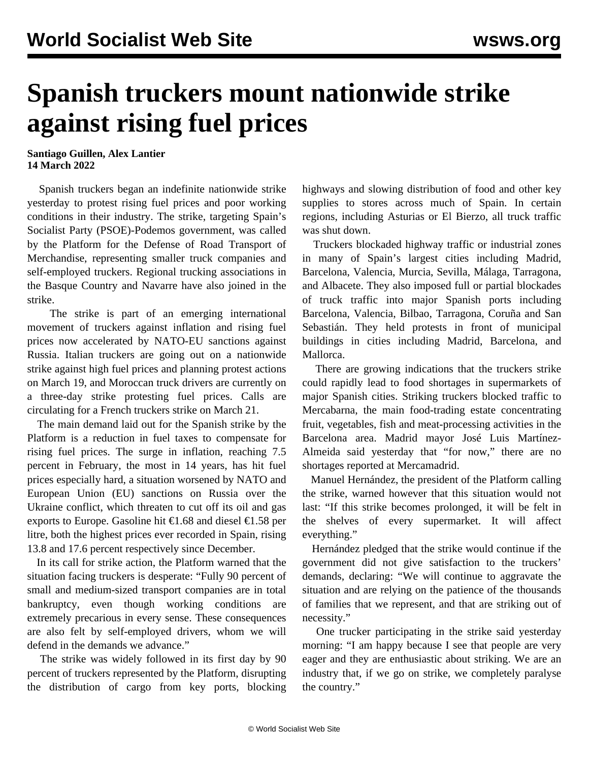## **Spanish truckers mount nationwide strike against rising fuel prices**

**Santiago Guillen, Alex Lantier 14 March 2022**

 Spanish truckers began an indefinite nationwide strike yesterday to protest rising fuel prices and poor working conditions in their industry. The strike, targeting Spain's Socialist Party (PSOE)-Podemos government, was called by the Platform for the Defense of Road Transport of Merchandise, representing smaller truck companies and self-employed truckers. Regional trucking associations in the Basque Country and Navarre have also joined in the strike.

 The strike is part of an emerging international movement of truckers against inflation and rising fuel prices now accelerated by NATO-EU sanctions against Russia. Italian truckers are going out on a nationwide strike against high fuel prices and planning protest actions on March 19, and Moroccan truck drivers are currently on a three-day strike protesting fuel prices. Calls are circulating for a French truckers strike on March 21.

 The main demand laid out for the Spanish strike by the Platform is a reduction in fuel taxes to compensate for rising fuel prices. The surge in inflation, reaching 7.5 percent in February, the most in 14 years, has hit fuel prices especially hard, a situation worsened by NATO and European Union (EU) sanctions on Russia over the Ukraine conflict, which threaten to cut off its oil and gas exports to Europe. Gasoline hit  $\epsilon$ 1.68 and diesel  $\epsilon$ 1.58 per litre, both the highest prices ever recorded in Spain, rising 13.8 and 17.6 percent respectively since December.

 In its call for strike action, the Platform warned that the situation facing truckers is desperate: "Fully 90 percent of small and medium-sized transport companies are in total bankruptcy, even though working conditions are extremely precarious in every sense. These consequences are also felt by self-employed drivers, whom we will defend in the demands we advance."

 The strike was widely followed in its first day by 90 percent of truckers represented by the Platform, disrupting the distribution of cargo from key ports, blocking highways and slowing distribution of food and other key supplies to stores across much of Spain. In certain regions, including Asturias or El Bierzo, all truck traffic was shut down.

 Truckers blockaded highway traffic or industrial zones in many of Spain's largest cities including Madrid, Barcelona, Valencia, Murcia, Sevilla, Málaga, Tarragona, and Albacete. They also imposed full or partial blockades of truck traffic into major Spanish ports including Barcelona, Valencia, Bilbao, Tarragona, Coruña and San Sebastián. They held protests in front of municipal buildings in cities including Madrid, Barcelona, and Mallorca.

 There are growing indications that the truckers strike could rapidly lead to food shortages in supermarkets of major Spanish cities. Striking truckers blocked traffic to Mercabarna, the main food-trading estate concentrating fruit, vegetables, fish and meat-processing activities in the Barcelona area. Madrid mayor José Luis Martínez-Almeida said yesterday that "for now," there are no shortages reported at Mercamadrid.

 Manuel Hernández, the president of the Platform calling the strike, warned however that this situation would not last: "If this strike becomes prolonged, it will be felt in the shelves of every supermarket. It will affect everything."

 Hernández pledged that the strike would continue if the government did not give satisfaction to the truckers' demands, declaring: "We will continue to aggravate the situation and are relying on the patience of the thousands of families that we represent, and that are striking out of necessity."

 One trucker participating in the strike said yesterday morning: "I am happy because I see that people are very eager and they are enthusiastic about striking. We are an industry that, if we go on strike, we completely paralyse the country."